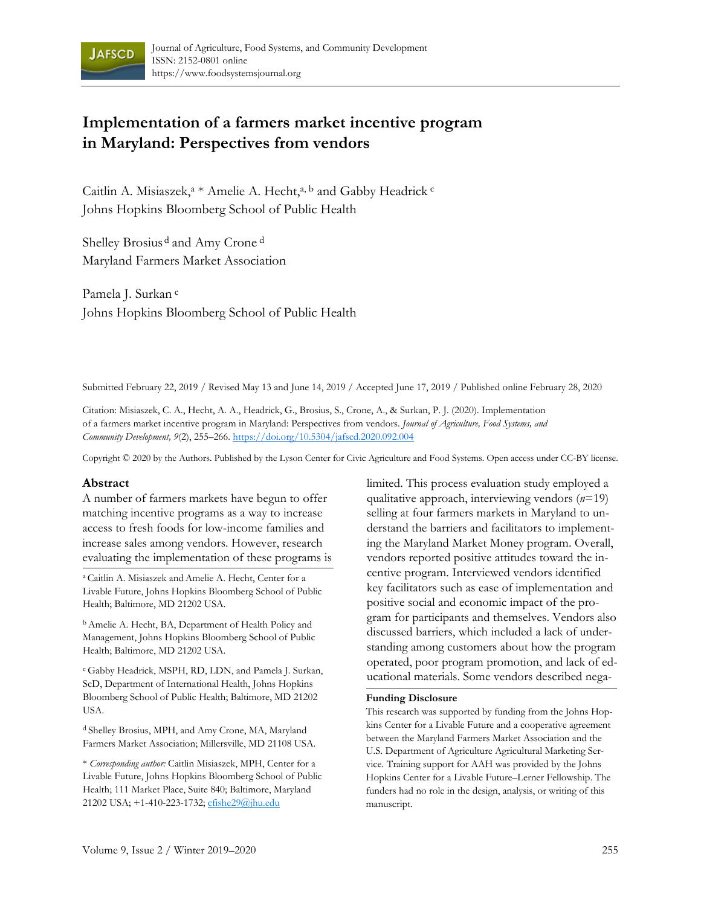

# **Implementation of a farmers market incentive program in Maryland: Perspectives from vendors**

Caitlin A. Misiaszek, $a *$  Amelie A. Hecht, $a, b$  and Gabby Headrick  $c$ Johns Hopkins Bloomberg School of Public Health

Shelley Brosius<sup>d</sup> and Amy Crone<sup>d</sup> Maryland Farmers Market Association

Pamela J. Surkan c Johns Hopkins Bloomberg School of Public Health

Submitted February 22, 2019 / Revised May 13 and June 14, 2019 / Accepted June 17, 2019 / Published online February 28, 2020

Citation: Misiaszek, C. A., Hecht, A. A., Headrick, G., Brosius, S., Crone, A., & Surkan, P. J. (2020). Implementation of a farmers market incentive program in Maryland: Perspectives from vendors. *Journal of Agriculture, Food Systems, and Community Development, 9*(2), 255–266. https://doi.org/10.5304/jafscd.2020.092.004

Copyright © 2020 by the Authors. Published by the Lyson Center for Civic Agriculture and Food Systems. Open access under CC-BY license.

#### **Abstract**

A number of farmers markets have begun to offer matching incentive programs as a way to increase access to fresh foods for low-income families and increase sales among vendors. However, research evaluating the implementation of these programs is

a Caitlin A. Misiaszek andAmelie A. Hecht, Center for a Livable Future, Johns Hopkins Bloomberg School of Public Health; Baltimore, MD 21202 USA.

b Amelie A. Hecht, BA, Department of Health Policy and Management, Johns Hopkins Bloomberg School of Public Health; Baltimore, MD 21202 USA.

c Gabby Headrick, MSPH, RD, LDN, and Pamela J. Surkan, ScD, Department of International Health, Johns Hopkins Bloomberg School of Public Health; Baltimore, MD 21202 USA.

d Shelley Brosius, MPH, and Amy Crone, MA, Maryland Farmers Market Association; Millersville, MD 21108 USA.

\* *Corresponding author:* Caitlin Misiaszek, MPH, Center for a Livable Future, Johns Hopkins Bloomberg School of Public Health; 111 Market Place, Suite 840; Baltimore, Maryland 21202 USA; +1-410-223-1732; cfishe29@jhu.edu

limited. This process evaluation study employed a qualitative approach, interviewing vendors (*n*=19) selling at four farmers markets in Maryland to understand the barriers and facilitators to implementing the Maryland Market Money program. Overall, vendors reported positive attitudes toward the incentive program. Interviewed vendors identified key facilitators such as ease of implementation and positive social and economic impact of the program for participants and themselves. Vendors also discussed barriers, which included a lack of understanding among customers about how the program operated, poor program promotion, and lack of educational materials. Some vendors described nega-

#### **Funding Disclosure**

This research was supported by funding from the Johns Hopkins Center for a Livable Future and a cooperative agreement between the Maryland Farmers Market Association and the U.S. Department of Agriculture Agricultural Marketing Service. Training support for AAH was provided by the Johns Hopkins Center for a Livable Future–Lerner Fellowship. The funders had no role in the design, analysis, or writing of this manuscript.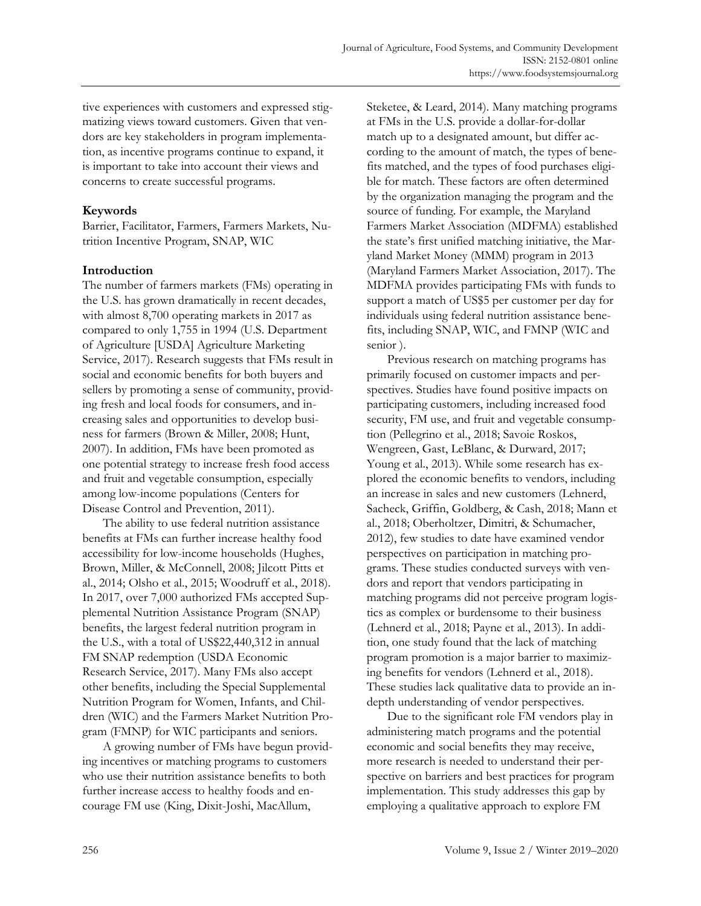tive experiences with customers and expressed stigmatizing views toward customers. Given that vendors are key stakeholders in program implementation, as incentive programs continue to expand, it is important to take into account their views and concerns to create successful programs.

## **Keywords**

Barrier, Facilitator, Farmers, Farmers Markets, Nutrition Incentive Program, SNAP, WIC

# **Introduction**

The number of farmers markets (FMs) operating in the U.S. has grown dramatically in recent decades, with almost 8,700 operating markets in 2017 as compared to only 1,755 in 1994 (U.S. Department of Agriculture [USDA] Agriculture Marketing Service, 2017). Research suggests that FMs result in social and economic benefits for both buyers and sellers by promoting a sense of community, providing fresh and local foods for consumers, and increasing sales and opportunities to develop business for farmers (Brown & Miller, 2008; Hunt, 2007). In addition, FMs have been promoted as one potential strategy to increase fresh food access and fruit and vegetable consumption, especially among low-income populations (Centers for Disease Control and Prevention, 2011).

 The ability to use federal nutrition assistance benefits at FMs can further increase healthy food accessibility for low-income households (Hughes, Brown, Miller, & McConnell, 2008; Jilcott Pitts et al., 2014; Olsho et al., 2015; Woodruff et al., 2018). In 2017, over 7,000 authorized FMs accepted Supplemental Nutrition Assistance Program (SNAP) benefits, the largest federal nutrition program in the U.S., with a total of US\$22,440,312 in annual FM SNAP redemption (USDA Economic Research Service, 2017). Many FMs also accept other benefits, including the Special Supplemental Nutrition Program for Women, Infants, and Children (WIC) and the Farmers Market Nutrition Program (FMNP) for WIC participants and seniors.

 A growing number of FMs have begun providing incentives or matching programs to customers who use their nutrition assistance benefits to both further increase access to healthy foods and encourage FM use (King, Dixit-Joshi, MacAllum,

Steketee, & Leard, 2014). Many matching programs at FMs in the U.S. provide a dollar-for-dollar match up to a designated amount, but differ according to the amount of match, the types of benefits matched, and the types of food purchases eligible for match. These factors are often determined by the organization managing the program and the source of funding. For example, the Maryland Farmers Market Association (MDFMA) established the state's first unified matching initiative, the Maryland Market Money (MMM) program in 2013 (Maryland Farmers Market Association, 2017). The MDFMA provides participating FMs with funds to support a match of US\$5 per customer per day for individuals using federal nutrition assistance benefits, including SNAP, WIC, and FMNP (WIC and senior ).

 Previous research on matching programs has primarily focused on customer impacts and perspectives. Studies have found positive impacts on participating customers, including increased food security, FM use, and fruit and vegetable consumption (Pellegrino et al., 2018; Savoie Roskos, Wengreen, Gast, LeBlanc, & Durward, 2017; Young et al., 2013). While some research has explored the economic benefits to vendors, including an increase in sales and new customers (Lehnerd, Sacheck, Griffin, Goldberg, & Cash, 2018; Mann et al., 2018; Oberholtzer, Dimitri, & Schumacher, 2012), few studies to date have examined vendor perspectives on participation in matching programs. These studies conducted surveys with vendors and report that vendors participating in matching programs did not perceive program logistics as complex or burdensome to their business (Lehnerd et al., 2018; Payne et al., 2013). In addition, one study found that the lack of matching program promotion is a major barrier to maximizing benefits for vendors (Lehnerd et al., 2018). These studies lack qualitative data to provide an indepth understanding of vendor perspectives.

 Due to the significant role FM vendors play in administering match programs and the potential economic and social benefits they may receive, more research is needed to understand their perspective on barriers and best practices for program implementation. This study addresses this gap by employing a qualitative approach to explore FM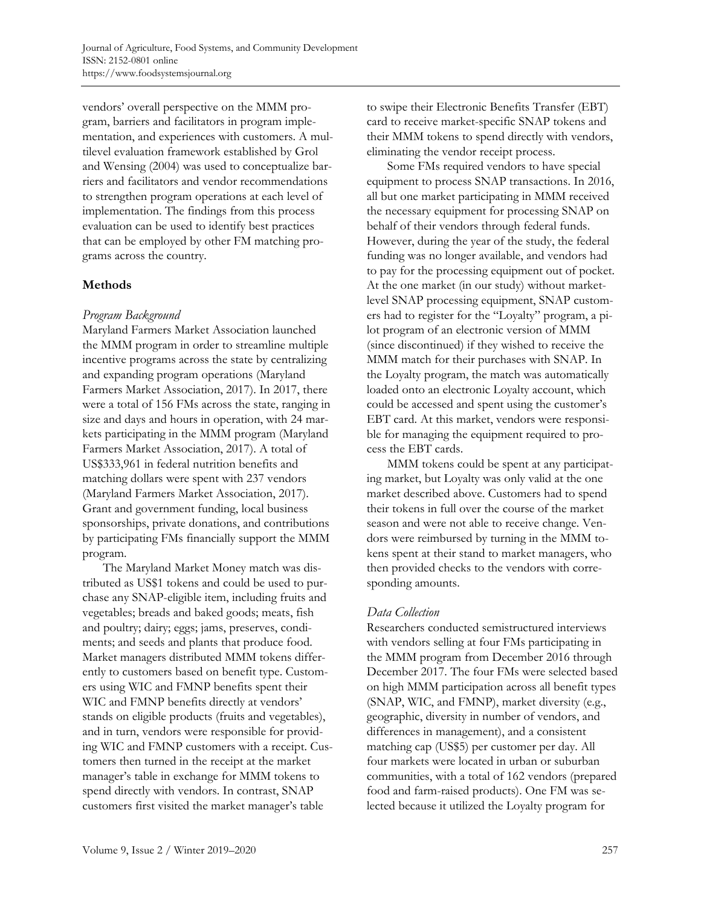vendors' overall perspective on the MMM program, barriers and facilitators in program implementation, and experiences with customers. A multilevel evaluation framework established by Grol and Wensing (2004) was used to conceptualize barriers and facilitators and vendor recommendations to strengthen program operations at each level of implementation. The findings from this process evaluation can be used to identify best practices that can be employed by other FM matching programs across the country.

## **Methods**

## *Program Background*

Maryland Farmers Market Association launched the MMM program in order to streamline multiple incentive programs across the state by centralizing and expanding program operations (Maryland Farmers Market Association, 2017). In 2017, there were a total of 156 FMs across the state, ranging in size and days and hours in operation, with 24 markets participating in the MMM program (Maryland Farmers Market Association, 2017). A total of US\$333,961 in federal nutrition benefits and matching dollars were spent with 237 vendors (Maryland Farmers Market Association, 2017). Grant and government funding, local business sponsorships, private donations, and contributions by participating FMs financially support the MMM program.

 The Maryland Market Money match was distributed as US\$1 tokens and could be used to purchase any SNAP-eligible item, including fruits and vegetables; breads and baked goods; meats, fish and poultry; dairy; eggs; jams, preserves, condiments; and seeds and plants that produce food. Market managers distributed MMM tokens differently to customers based on benefit type. Customers using WIC and FMNP benefits spent their WIC and FMNP benefits directly at vendors' stands on eligible products (fruits and vegetables), and in turn, vendors were responsible for providing WIC and FMNP customers with a receipt. Customers then turned in the receipt at the market manager's table in exchange for MMM tokens to spend directly with vendors. In contrast, SNAP customers first visited the market manager's table

to swipe their Electronic Benefits Transfer (EBT) card to receive market-specific SNAP tokens and their MMM tokens to spend directly with vendors, eliminating the vendor receipt process.

 Some FMs required vendors to have special equipment to process SNAP transactions. In 2016, all but one market participating in MMM received the necessary equipment for processing SNAP on behalf of their vendors through federal funds. However, during the year of the study, the federal funding was no longer available, and vendors had to pay for the processing equipment out of pocket. At the one market (in our study) without marketlevel SNAP processing equipment, SNAP customers had to register for the "Loyalty" program, a pilot program of an electronic version of MMM (since discontinued) if they wished to receive the MMM match for their purchases with SNAP. In the Loyalty program, the match was automatically loaded onto an electronic Loyalty account, which could be accessed and spent using the customer's EBT card. At this market, vendors were responsible for managing the equipment required to process the EBT cards.

 MMM tokens could be spent at any participating market, but Loyalty was only valid at the one market described above. Customers had to spend their tokens in full over the course of the market season and were not able to receive change. Vendors were reimbursed by turning in the MMM tokens spent at their stand to market managers, who then provided checks to the vendors with corresponding amounts.

## *Data Collection*

Researchers conducted semistructured interviews with vendors selling at four FMs participating in the MMM program from December 2016 through December 2017. The four FMs were selected based on high MMM participation across all benefit types (SNAP, WIC, and FMNP), market diversity (e.g., geographic, diversity in number of vendors, and differences in management), and a consistent matching cap (US\$5) per customer per day. All four markets were located in urban or suburban communities, with a total of 162 vendors (prepared food and farm-raised products). One FM was selected because it utilized the Loyalty program for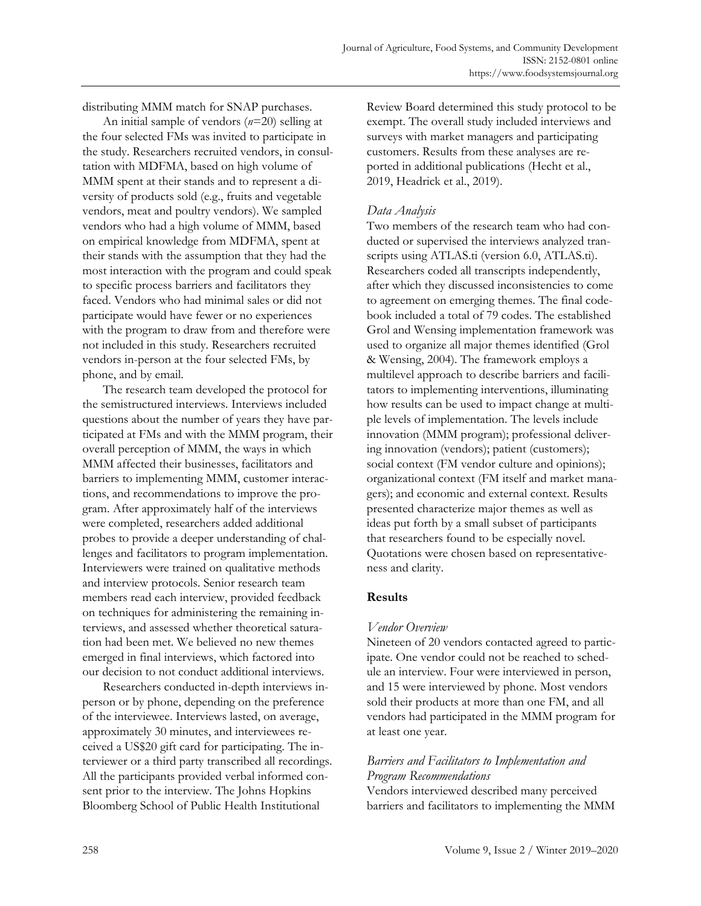distributing MMM match for SNAP purchases.

 An initial sample of vendors (*n*=20) selling at the four selected FMs was invited to participate in the study. Researchers recruited vendors, in consultation with MDFMA, based on high volume of MMM spent at their stands and to represent a diversity of products sold (e.g., fruits and vegetable vendors, meat and poultry vendors). We sampled vendors who had a high volume of MMM, based on empirical knowledge from MDFMA, spent at their stands with the assumption that they had the most interaction with the program and could speak to specific process barriers and facilitators they faced. Vendors who had minimal sales or did not participate would have fewer or no experiences with the program to draw from and therefore were not included in this study. Researchers recruited vendors in-person at the four selected FMs, by phone, and by email.

 The research team developed the protocol for the semistructured interviews. Interviews included questions about the number of years they have participated at FMs and with the MMM program, their overall perception of MMM, the ways in which MMM affected their businesses, facilitators and barriers to implementing MMM, customer interactions, and recommendations to improve the program. After approximately half of the interviews were completed, researchers added additional probes to provide a deeper understanding of challenges and facilitators to program implementation. Interviewers were trained on qualitative methods and interview protocols. Senior research team members read each interview, provided feedback on techniques for administering the remaining interviews, and assessed whether theoretical saturation had been met. We believed no new themes emerged in final interviews, which factored into our decision to not conduct additional interviews.

 Researchers conducted in-depth interviews inperson or by phone, depending on the preference of the interviewee. Interviews lasted, on average, approximately 30 minutes, and interviewees received a US\$20 gift card for participating. The interviewer or a third party transcribed all recordings. All the participants provided verbal informed consent prior to the interview. The Johns Hopkins Bloomberg School of Public Health Institutional

Review Board determined this study protocol to be exempt. The overall study included interviews and surveys with market managers and participating customers. Results from these analyses are reported in additional publications (Hecht et al., 2019, Headrick et al., 2019).

## *Data Analysis*

Two members of the research team who had conducted or supervised the interviews analyzed transcripts using ATLAS.ti (version 6.0, ATLAS.ti). Researchers coded all transcripts independently, after which they discussed inconsistencies to come to agreement on emerging themes. The final codebook included a total of 79 codes. The established Grol and Wensing implementation framework was used to organize all major themes identified (Grol & Wensing, 2004). The framework employs a multilevel approach to describe barriers and facilitators to implementing interventions, illuminating how results can be used to impact change at multiple levels of implementation. The levels include innovation (MMM program); professional delivering innovation (vendors); patient (customers); social context (FM vendor culture and opinions); organizational context (FM itself and market managers); and economic and external context. Results presented characterize major themes as well as ideas put forth by a small subset of participants that researchers found to be especially novel. Quotations were chosen based on representativeness and clarity.

# **Results**

## *Vendor Overview*

Nineteen of 20 vendors contacted agreed to participate. One vendor could not be reached to schedule an interview. Four were interviewed in person, and 15 were interviewed by phone. Most vendors sold their products at more than one FM, and all vendors had participated in the MMM program for at least one year.

# *Barriers and Facilitators to Implementation and Program Recommendations*

Vendors interviewed described many perceived barriers and facilitators to implementing the MMM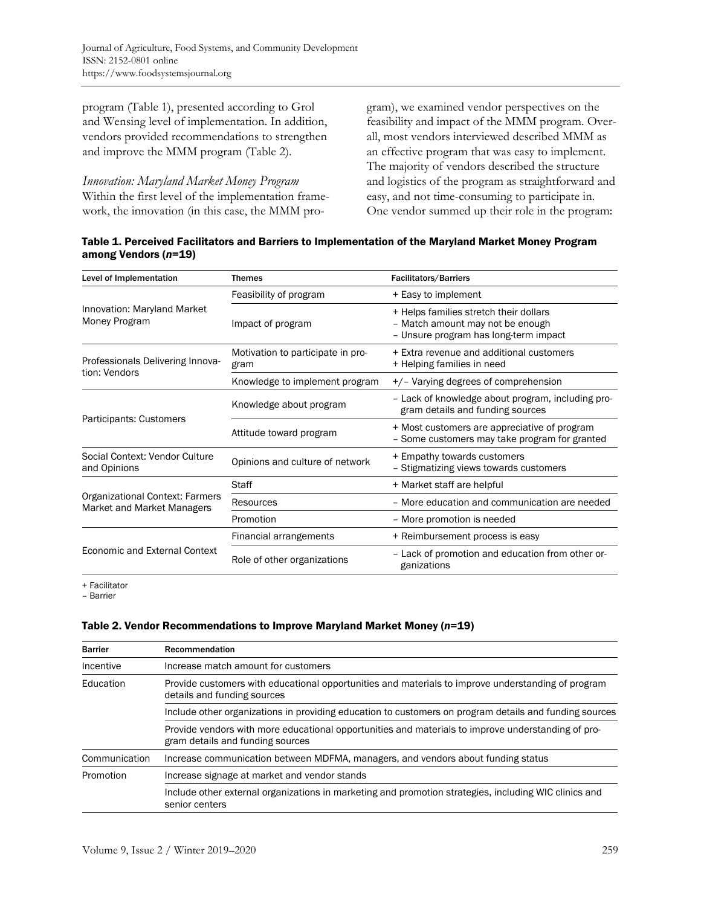program (Table 1), presented according to Grol and Wensing level of implementation. In addition, vendors provided recommendations to strengthen and improve the MMM program (Table 2).

*Innovation: Maryland Market Money Program*  Within the first level of the implementation framework, the innovation (in this case, the MMM program), we examined vendor perspectives on the feasibility and impact of the MMM program. Overall, most vendors interviewed described MMM as an effective program that was easy to implement. The majority of vendors described the structure and logistics of the program as straightforward and easy, and not time-consuming to participate in. One vendor summed up their role in the program:

#### Table 1. Perceived Facilitators and Barriers to Implementation of the Maryland Market Money Program among Vendors (*n*=19)

| Level of Implementation                                              | <b>Themes</b>                             | Facilitators/Barriers                                                                                               |
|----------------------------------------------------------------------|-------------------------------------------|---------------------------------------------------------------------------------------------------------------------|
| Innovation: Maryland Market<br>Money Program                         | Feasibility of program                    | + Easy to implement                                                                                                 |
|                                                                      | Impact of program                         | + Helps families stretch their dollars<br>- Match amount may not be enough<br>- Unsure program has long-term impact |
| Professionals Delivering Innova-<br>tion: Vendors                    | Motivation to participate in pro-<br>gram | + Extra revenue and additional customers<br>+ Helping families in need                                              |
|                                                                      | Knowledge to implement program            | +/- Varying degrees of comprehension                                                                                |
| Participants: Customers                                              | Knowledge about program                   | - Lack of knowledge about program, including pro-<br>gram details and funding sources                               |
|                                                                      | Attitude toward program                   | + Most customers are appreciative of program<br>- Some customers may take program for granted                       |
| Social Context: Vendor Culture<br>and Opinions                       | Opinions and culture of network           | + Empathy towards customers<br>- Stigmatizing views towards customers                                               |
| <b>Organizational Context: Farmers</b><br>Market and Market Managers | Staff                                     | + Market staff are helpful                                                                                          |
|                                                                      | Resources                                 | - More education and communication are needed                                                                       |
|                                                                      | Promotion                                 | - More promotion is needed                                                                                          |
| Economic and External Context                                        | Financial arrangements                    | + Reimbursement process is easy                                                                                     |
|                                                                      | Role of other organizations               | - Lack of promotion and education from other or-<br>ganizations                                                     |

+ Facilitator

– Barrier

#### Table 2. Vendor Recommendations to Improve Maryland Market Money (*n*=19)

| <b>Barrier</b> | Recommendation                                                                                                                         |  |
|----------------|----------------------------------------------------------------------------------------------------------------------------------------|--|
| Incentive      | Increase match amount for customers                                                                                                    |  |
| Education      | Provide customers with educational opportunities and materials to improve understanding of program<br>details and funding sources      |  |
|                | Include other organizations in providing education to customers on program details and funding sources                                 |  |
|                | Provide vendors with more educational opportunities and materials to improve understanding of pro-<br>gram details and funding sources |  |
| Communication  | Increase communication between MDFMA, managers, and vendors about funding status                                                       |  |
| Promotion      | Increase signage at market and vendor stands                                                                                           |  |
|                | Include other external organizations in marketing and promotion strategies, including WIC clinics and<br>senior centers                |  |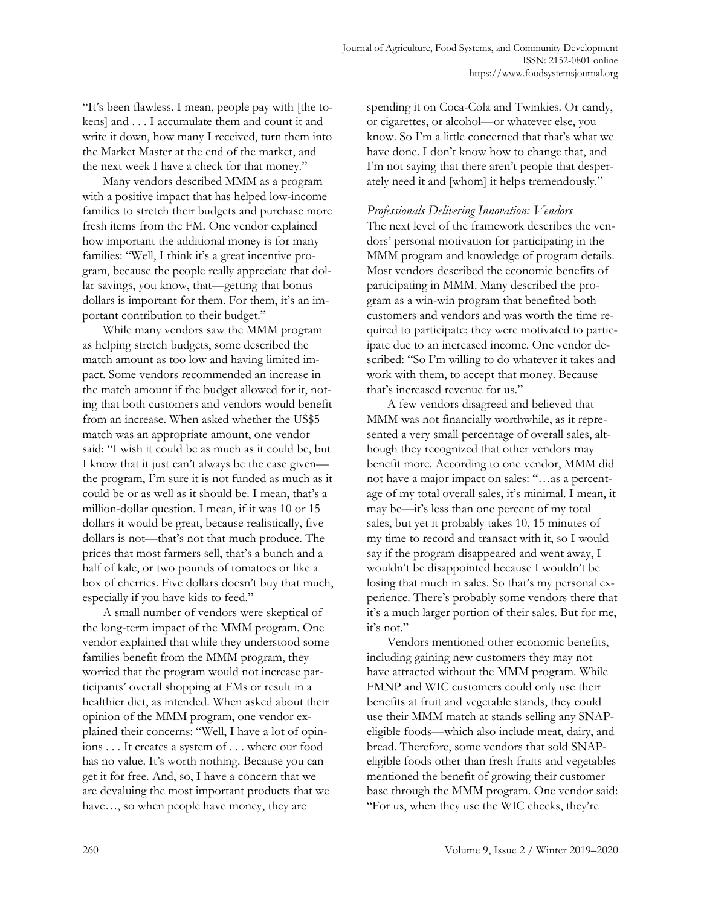"It's been flawless. I mean, people pay with [the tokens] and . . . I accumulate them and count it and write it down, how many I received, turn them into the Market Master at the end of the market, and the next week I have a check for that money."

 Many vendors described MMM as a program with a positive impact that has helped low-income families to stretch their budgets and purchase more fresh items from the FM. One vendor explained how important the additional money is for many families: "Well, I think it's a great incentive program, because the people really appreciate that dollar savings, you know, that—getting that bonus dollars is important for them. For them, it's an important contribution to their budget."

 While many vendors saw the MMM program as helping stretch budgets, some described the match amount as too low and having limited impact. Some vendors recommended an increase in the match amount if the budget allowed for it, noting that both customers and vendors would benefit from an increase. When asked whether the US\$5 match was an appropriate amount, one vendor said: "I wish it could be as much as it could be, but I know that it just can't always be the case given the program, I'm sure it is not funded as much as it could be or as well as it should be. I mean, that's a million-dollar question. I mean, if it was 10 or 15 dollars it would be great, because realistically, five dollars is not—that's not that much produce. The prices that most farmers sell, that's a bunch and a half of kale, or two pounds of tomatoes or like a box of cherries. Five dollars doesn't buy that much, especially if you have kids to feed."

 A small number of vendors were skeptical of the long-term impact of the MMM program. One vendor explained that while they understood some families benefit from the MMM program, they worried that the program would not increase participants' overall shopping at FMs or result in a healthier diet, as intended. When asked about their opinion of the MMM program, one vendor explained their concerns: "Well, I have a lot of opinions . . . It creates a system of . . . where our food has no value. It's worth nothing. Because you can get it for free. And, so, I have a concern that we are devaluing the most important products that we have…, so when people have money, they are

spending it on Coca-Cola and Twinkies. Or candy, or cigarettes, or alcohol—or whatever else, you know. So I'm a little concerned that that's what we have done. I don't know how to change that, and I'm not saying that there aren't people that desperately need it and [whom] it helps tremendously."

#### *Professionals Delivering Innovation: Vendors*

The next level of the framework describes the vendors' personal motivation for participating in the MMM program and knowledge of program details. Most vendors described the economic benefits of participating in MMM. Many described the program as a win-win program that benefited both customers and vendors and was worth the time required to participate; they were motivated to participate due to an increased income. One vendor described: "So I'm willing to do whatever it takes and work with them, to accept that money. Because that's increased revenue for us."

 A few vendors disagreed and believed that MMM was not financially worthwhile, as it represented a very small percentage of overall sales, although they recognized that other vendors may benefit more. According to one vendor, MMM did not have a major impact on sales: "…as a percentage of my total overall sales, it's minimal. I mean, it may be—it's less than one percent of my total sales, but yet it probably takes 10, 15 minutes of my time to record and transact with it, so I would say if the program disappeared and went away, I wouldn't be disappointed because I wouldn't be losing that much in sales. So that's my personal experience. There's probably some vendors there that it's a much larger portion of their sales. But for me, it's not."

 Vendors mentioned other economic benefits, including gaining new customers they may not have attracted without the MMM program. While FMNP and WIC customers could only use their benefits at fruit and vegetable stands, they could use their MMM match at stands selling any SNAPeligible foods—which also include meat, dairy, and bread. Therefore, some vendors that sold SNAPeligible foods other than fresh fruits and vegetables mentioned the benefit of growing their customer base through the MMM program. One vendor said: "For us, when they use the WIC checks, they're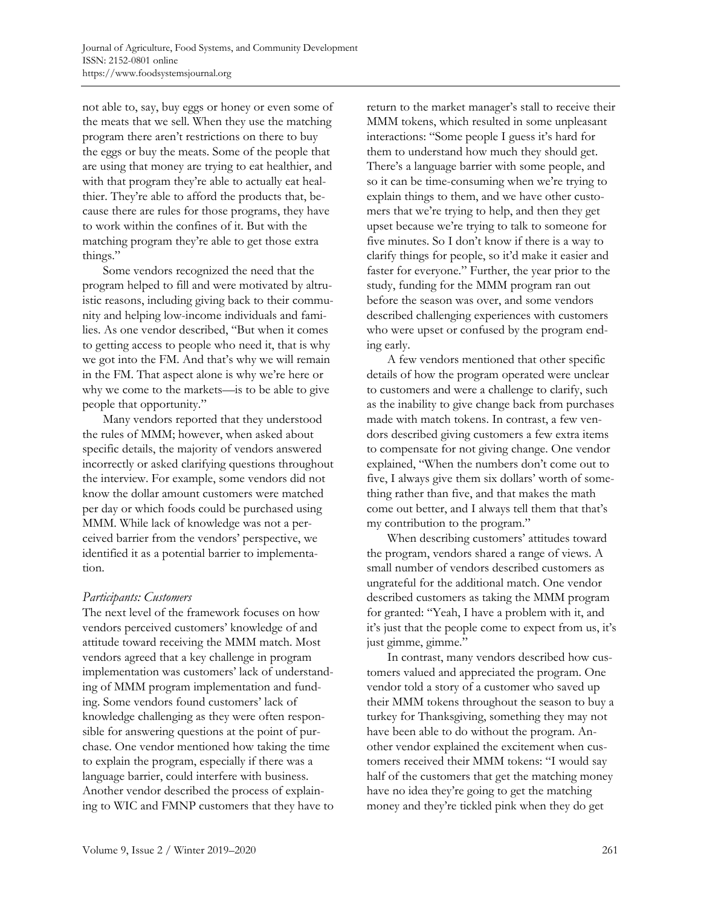not able to, say, buy eggs or honey or even some of the meats that we sell. When they use the matching program there aren't restrictions on there to buy the eggs or buy the meats. Some of the people that are using that money are trying to eat healthier, and with that program they're able to actually eat healthier. They're able to afford the products that, because there are rules for those programs, they have to work within the confines of it. But with the matching program they're able to get those extra things."

 Some vendors recognized the need that the program helped to fill and were motivated by altruistic reasons, including giving back to their community and helping low-income individuals and families. As one vendor described, "But when it comes to getting access to people who need it, that is why we got into the FM. And that's why we will remain in the FM. That aspect alone is why we're here or why we come to the markets—is to be able to give people that opportunity."

 Many vendors reported that they understood the rules of MMM; however, when asked about specific details, the majority of vendors answered incorrectly or asked clarifying questions throughout the interview. For example, some vendors did not know the dollar amount customers were matched per day or which foods could be purchased using MMM. While lack of knowledge was not a perceived barrier from the vendors' perspective, we identified it as a potential barrier to implementation.

## *Participants: Customers*

The next level of the framework focuses on how vendors perceived customers' knowledge of and attitude toward receiving the MMM match. Most vendors agreed that a key challenge in program implementation was customers' lack of understanding of MMM program implementation and funding. Some vendors found customers' lack of knowledge challenging as they were often responsible for answering questions at the point of purchase. One vendor mentioned how taking the time to explain the program, especially if there was a language barrier, could interfere with business. Another vendor described the process of explaining to WIC and FMNP customers that they have to return to the market manager's stall to receive their MMM tokens, which resulted in some unpleasant interactions: "Some people I guess it's hard for them to understand how much they should get. There's a language barrier with some people, and so it can be time-consuming when we're trying to explain things to them, and we have other customers that we're trying to help, and then they get upset because we're trying to talk to someone for five minutes. So I don't know if there is a way to clarify things for people, so it'd make it easier and faster for everyone." Further, the year prior to the study, funding for the MMM program ran out before the season was over, and some vendors described challenging experiences with customers who were upset or confused by the program ending early.

 A few vendors mentioned that other specific details of how the program operated were unclear to customers and were a challenge to clarify, such as the inability to give change back from purchases made with match tokens. In contrast, a few vendors described giving customers a few extra items to compensate for not giving change. One vendor explained, "When the numbers don't come out to five, I always give them six dollars' worth of something rather than five, and that makes the math come out better, and I always tell them that that's my contribution to the program."

 When describing customers' attitudes toward the program, vendors shared a range of views. A small number of vendors described customers as ungrateful for the additional match. One vendor described customers as taking the MMM program for granted: "Yeah, I have a problem with it, and it's just that the people come to expect from us, it's just gimme, gimme."

 In contrast, many vendors described how customers valued and appreciated the program. One vendor told a story of a customer who saved up their MMM tokens throughout the season to buy a turkey for Thanksgiving, something they may not have been able to do without the program. Another vendor explained the excitement when customers received their MMM tokens: "I would say half of the customers that get the matching money have no idea they're going to get the matching money and they're tickled pink when they do get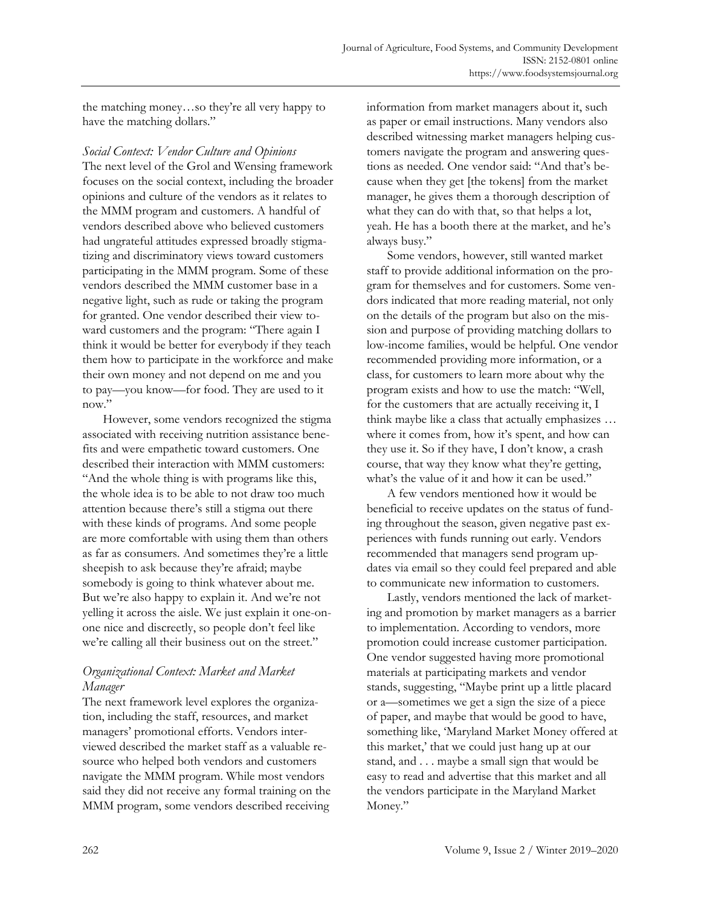the matching money…so they're all very happy to have the matching dollars."

## *Social Context: Vendor Culture and Opinions*

The next level of the Grol and Wensing framework focuses on the social context, including the broader opinions and culture of the vendors as it relates to the MMM program and customers. A handful of vendors described above who believed customers had ungrateful attitudes expressed broadly stigmatizing and discriminatory views toward customers participating in the MMM program. Some of these vendors described the MMM customer base in a negative light, such as rude or taking the program for granted. One vendor described their view toward customers and the program: "There again I think it would be better for everybody if they teach them how to participate in the workforce and make their own money and not depend on me and you to pay—you know—for food. They are used to it now."

 However, some vendors recognized the stigma associated with receiving nutrition assistance benefits and were empathetic toward customers. One described their interaction with MMM customers: "And the whole thing is with programs like this, the whole idea is to be able to not draw too much attention because there's still a stigma out there with these kinds of programs. And some people are more comfortable with using them than others as far as consumers. And sometimes they're a little sheepish to ask because they're afraid; maybe somebody is going to think whatever about me. But we're also happy to explain it. And we're not yelling it across the aisle. We just explain it one-onone nice and discreetly, so people don't feel like we're calling all their business out on the street."

## *Organizational Context: Market and Market Manager*

The next framework level explores the organization, including the staff, resources, and market managers' promotional efforts. Vendors interviewed described the market staff as a valuable resource who helped both vendors and customers navigate the MMM program. While most vendors said they did not receive any formal training on the MMM program, some vendors described receiving

information from market managers about it, such as paper or email instructions. Many vendors also described witnessing market managers helping customers navigate the program and answering questions as needed. One vendor said: "And that's because when they get [the tokens] from the market manager, he gives them a thorough description of what they can do with that, so that helps a lot, yeah. He has a booth there at the market, and he's always busy."

 Some vendors, however, still wanted market staff to provide additional information on the program for themselves and for customers. Some vendors indicated that more reading material, not only on the details of the program but also on the mission and purpose of providing matching dollars to low-income families, would be helpful. One vendor recommended providing more information, or a class, for customers to learn more about why the program exists and how to use the match: "Well, for the customers that are actually receiving it, I think maybe like a class that actually emphasizes … where it comes from, how it's spent, and how can they use it. So if they have, I don't know, a crash course, that way they know what they're getting, what's the value of it and how it can be used."

 A few vendors mentioned how it would be beneficial to receive updates on the status of funding throughout the season, given negative past experiences with funds running out early. Vendors recommended that managers send program updates via email so they could feel prepared and able to communicate new information to customers.

 Lastly, vendors mentioned the lack of marketing and promotion by market managers as a barrier to implementation. According to vendors, more promotion could increase customer participation. One vendor suggested having more promotional materials at participating markets and vendor stands, suggesting, "Maybe print up a little placard or a—sometimes we get a sign the size of a piece of paper, and maybe that would be good to have, something like, 'Maryland Market Money offered at this market,' that we could just hang up at our stand, and . . . maybe a small sign that would be easy to read and advertise that this market and all the vendors participate in the Maryland Market Money."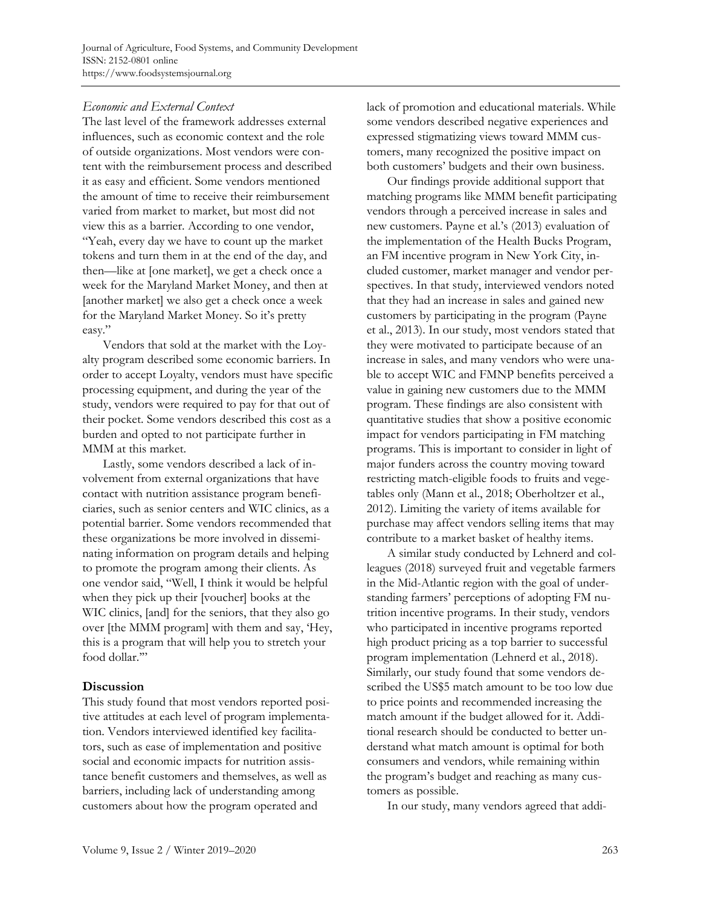## *Economic and External Context*

The last level of the framework addresses external influences, such as economic context and the role of outside organizations. Most vendors were content with the reimbursement process and described it as easy and efficient. Some vendors mentioned the amount of time to receive their reimbursement varied from market to market, but most did not view this as a barrier. According to one vendor, "Yeah, every day we have to count up the market tokens and turn them in at the end of the day, and then—like at [one market], we get a check once a week for the Maryland Market Money, and then at [another market] we also get a check once a week for the Maryland Market Money. So it's pretty easy."

 Vendors that sold at the market with the Loyalty program described some economic barriers. In order to accept Loyalty, vendors must have specific processing equipment, and during the year of the study, vendors were required to pay for that out of their pocket. Some vendors described this cost as a burden and opted to not participate further in MMM at this market.

 Lastly, some vendors described a lack of involvement from external organizations that have contact with nutrition assistance program beneficiaries, such as senior centers and WIC clinics, as a potential barrier. Some vendors recommended that these organizations be more involved in disseminating information on program details and helping to promote the program among their clients. As one vendor said, "Well, I think it would be helpful when they pick up their [voucher] books at the WIC clinics, [and] for the seniors, that they also go over [the MMM program] with them and say, 'Hey, this is a program that will help you to stretch your food dollar.'"

# **Discussion**

This study found that most vendors reported positive attitudes at each level of program implementation. Vendors interviewed identified key facilitators, such as ease of implementation and positive social and economic impacts for nutrition assistance benefit customers and themselves, as well as barriers, including lack of understanding among customers about how the program operated and

lack of promotion and educational materials. While some vendors described negative experiences and expressed stigmatizing views toward MMM customers, many recognized the positive impact on both customers' budgets and their own business.

 Our findings provide additional support that matching programs like MMM benefit participating vendors through a perceived increase in sales and new customers. Payne et al.'s (2013) evaluation of the implementation of the Health Bucks Program, an FM incentive program in New York City, included customer, market manager and vendor perspectives. In that study, interviewed vendors noted that they had an increase in sales and gained new customers by participating in the program (Payne et al., 2013). In our study, most vendors stated that they were motivated to participate because of an increase in sales, and many vendors who were unable to accept WIC and FMNP benefits perceived a value in gaining new customers due to the MMM program. These findings are also consistent with quantitative studies that show a positive economic impact for vendors participating in FM matching programs. This is important to consider in light of major funders across the country moving toward restricting match-eligible foods to fruits and vegetables only (Mann et al., 2018; Oberholtzer et al., 2012). Limiting the variety of items available for purchase may affect vendors selling items that may contribute to a market basket of healthy items.

 A similar study conducted by Lehnerd and colleagues (2018) surveyed fruit and vegetable farmers in the Mid-Atlantic region with the goal of understanding farmers' perceptions of adopting FM nutrition incentive programs. In their study, vendors who participated in incentive programs reported high product pricing as a top barrier to successful program implementation (Lehnerd et al., 2018). Similarly, our study found that some vendors described the US\$5 match amount to be too low due to price points and recommended increasing the match amount if the budget allowed for it. Additional research should be conducted to better understand what match amount is optimal for both consumers and vendors, while remaining within the program's budget and reaching as many customers as possible.

In our study, many vendors agreed that addi-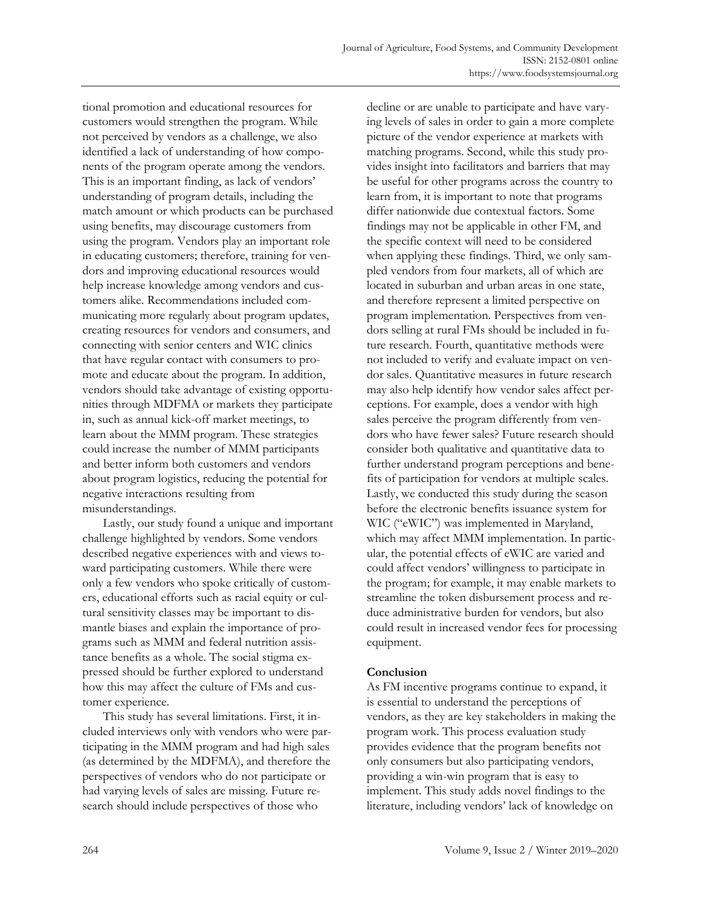tional promotion and educational resources for customers would strengthen the program. While not perceived by vendors as a challenge, we also identified a lack of understanding of how components of the program operate among the vendors. This is an important finding, as lack of vendors' understanding of program details, including the match amount or which products can be purchased using benefits, may discourage customers from using the program. Vendors play an important role in educating customers; therefore, training for vendors and improving educational resources would help increase knowledge among vendors and customers alike. Recommendations included communicating more regularly about program updates, creating resources for vendors and consumers, and connecting with senior centers and WIC clinics that have regular contact with consumers to promote and educate about the program. In addition, vendors should take advantage of existing opportunities through MDFMA or markets they participate in, such as annual kick-off market meetings, to learn about the MMM program. These strategies could increase the number of MMM participants and better inform both customers and vendors about program logistics, reducing the potential for negative interactions resulting from misunderstandings.

 Lastly, our study found a unique and important challenge highlighted by vendors. Some vendors described negative experiences with and views toward participating customers. While there were only a few vendors who spoke critically of customers, educational efforts such as racial equity or cultural sensitivity classes may be important to dismantle biases and explain the importance of programs such as MMM and federal nutrition assistance benefits as a whole. The social stigma expressed should be further explored to understand how this may affect the culture of FMs and customer experience.

 This study has several limitations. First, it included interviews only with vendors who were participating in the MMM program and had high sales (as determined by the MDFMA), and therefore the perspectives of vendors who do not participate or had varying levels of sales are missing. Future research should include perspectives of those who

decline or are unable to participate and have varying levels of sales in order to gain a more complete picture of the vendor experience at markets with matching programs. Second, while this study provides insight into facilitators and barriers that may be useful for other programs across the country to learn from, it is important to note that programs differ nationwide due contextual factors. Some findings may not be applicable in other FM, and the specific context will need to be considered when applying these findings. Third, we only sampled vendors from four markets, all of which are located in suburban and urban areas in one state, and therefore represent a limited perspective on program implementation. Perspectives from vendors selling at rural FMs should be included in future research. Fourth, quantitative methods were not included to verify and evaluate impact on vendor sales. Quantitative measures in future research may also help identify how vendor sales affect perceptions. For example, does a vendor with high sales perceive the program differently from vendors who have fewer sales? Future research should consider both qualitative and quantitative data to further understand program perceptions and benefits of participation for vendors at multiple scales. Lastly, we conducted this study during the season before the electronic benefits issuance system for WIC ("eWIC") was implemented in Maryland, which may affect MMM implementation. In particular, the potential effects of eWIC are varied and could affect vendors' willingness to participate in the program; for example, it may enable markets to streamline the token disbursement process and reduce administrative burden for vendors, but also could result in increased vendor fees for processing equipment.

## **Conclusion**

As FM incentive programs continue to expand, it is essential to understand the perceptions of vendors, as they are key stakeholders in making the program work. This process evaluation study provides evidence that the program benefits not only consumers but also participating vendors, providing a win-win program that is easy to implement. This study adds novel findings to the literature, including vendors' lack of knowledge on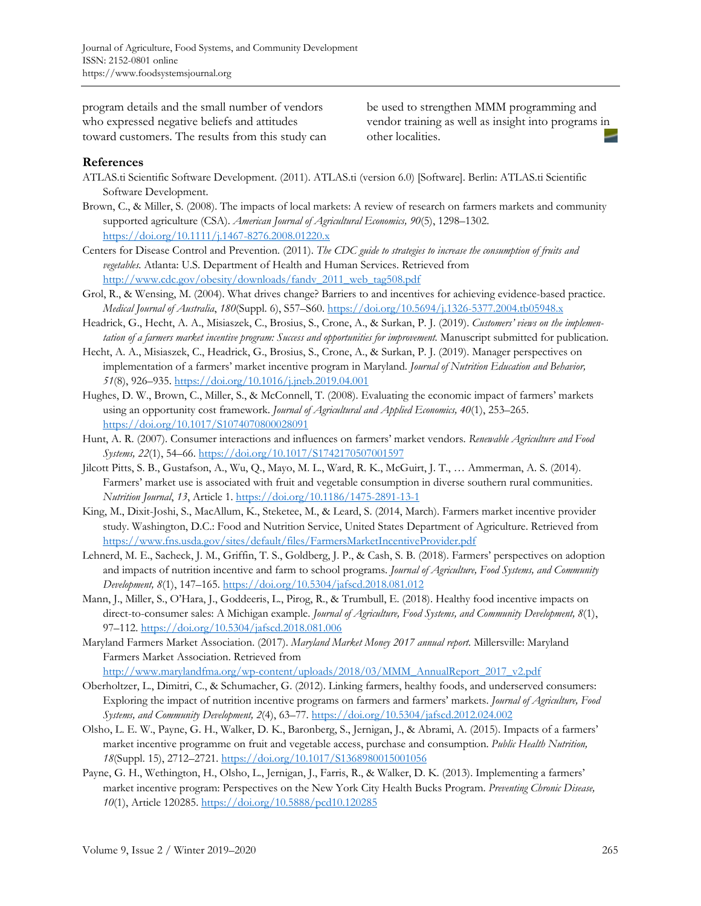program details and the small number of vendors who expressed negative beliefs and attitudes toward customers. The results from this study can be used to strengthen MMM programming and vendor training as well as insight into programs in other localities.

#### **References**

- ATLAS.ti Scientific Software Development. (2011). ATLAS.ti (version 6.0) [Software]. Berlin: ATLAS.ti Scientific Software Development.
- Brown, C., & Miller, S. (2008). The impacts of local markets: A review of research on farmers markets and community supported agriculture (CSA). *American Journal of Agricultural Economics, 90*(5), 1298–1302. https://doi.org/10.1111/j.1467-8276.2008.01220.x
- Centers for Disease Control and Prevention. (2011). *The CDC guide to strategies to increase the consumption of fruits and vegetables*. Atlanta: U.S. Department of Health and Human Services. Retrieved from http://www.cdc.gov/obesity/downloads/fandv\_2011\_web\_tag508.pdf
- Grol, R., & Wensing, M. (2004). What drives change? Barriers to and incentives for achieving evidence-based practice. *Medical Journal of Australia*, *180*(Suppl. 6), S57–S60. https://doi.org/10.5694/j.1326-5377.2004.tb05948.x
- Headrick, G., Hecht, A. A., Misiaszek, C., Brosius, S., Crone, A., & Surkan, P. J. (2019). *Customers' views on the implementation of a farmers market incentive program: Success and opportunities for improvement.* Manuscript submitted for publication.
- Hecht, A. A., Misiaszek, C., Headrick, G., Brosius, S., Crone, A., & Surkan, P. J. (2019). Manager perspectives on implementation of a farmers' market incentive program in Maryland. *Journal of Nutrition Education and Behavior, 51*(8), 926–935. https://doi.org/10.1016/j.jneb.2019.04.001
- Hughes, D. W., Brown, C., Miller, S., & McConnell, T. (2008). Evaluating the economic impact of farmers' markets using an opportunity cost framework. *Journal of Agricultural and Applied Economics, 40*(1), 253–265. https://doi.org/10.1017/S1074070800028091
- Hunt, A. R. (2007). Consumer interactions and influences on farmers' market vendors. *Renewable Agriculture and Food Systems, 22*(1), 54–66. https://doi.org/10.1017/S1742170507001597
- Jilcott Pitts, S. B., Gustafson, A., Wu, Q., Mayo, M. L., Ward, R. K., McGuirt, J. T., … Ammerman, A. S. (2014). Farmers' market use is associated with fruit and vegetable consumption in diverse southern rural communities. *Nutrition Journal*, *13*, Article 1. https://doi.org/10.1186/1475-2891-13-1
- King, M., Dixit-Joshi, S., MacAllum, K., Steketee, M., & Leard, S. (2014, March). Farmers market incentive provider study. Washington, D.C.: Food and Nutrition Service, United States Department of Agriculture. Retrieved from https://www.fns.usda.gov/sites/default/files/FarmersMarketIncentiveProvider.pdf
- Lehnerd, M. E., Sacheck, J. M., Griffin, T. S., Goldberg, J. P., & Cash, S. B. (2018). Farmers' perspectives on adoption and impacts of nutrition incentive and farm to school programs. *Journal of Agriculture, Food Systems, and Community Development, 8*(1), 147–165. https://doi.org/10.5304/jafscd.2018.081.012
- Mann, J., Miller, S., O'Hara, J., Goddeeris, L., Pirog, R., & Trumbull, E. (2018). Healthy food incentive impacts on direct-to-consumer sales: A Michigan example. *Journal of Agriculture, Food Systems, and Community Development, 8*(1), 97–112. https://doi.org/10.5304/jafscd.2018.081.006
- Maryland Farmers Market Association. (2017). *Maryland Market Money 2017 annual report*. Millersville: Maryland Farmers Market Association. Retrieved from http://www.marylandfma.org/wp-content/uploads/2018/03/MMM\_AnnualReport\_2017\_v2.pdf
- Oberholtzer, L., Dimitri, C., & Schumacher, G. (2012). Linking farmers, healthy foods, and underserved consumers: Exploring the impact of nutrition incentive programs on farmers and farmers' markets. *Journal of Agriculture, Food Systems, and Community Development, 2*(4), 63–77. https://doi.org/10.5304/jafscd.2012.024.002
- Olsho, L. E. W., Payne, G. H., Walker, D. K., Baronberg, S., Jernigan, J., & Abrami, A. (2015). Impacts of a farmers' market incentive programme on fruit and vegetable access, purchase and consumption. *Public Health Nutrition, 18*(Suppl. 15), 2712–2721. https://doi.org/10.1017/S1368980015001056
- Payne, G. H., Wethington, H., Olsho, L., Jernigan, J., Farris, R., & Walker, D. K. (2013). Implementing a farmers' market incentive program: Perspectives on the New York City Health Bucks Program. *Preventing Chronic Disease, 10*(1), Article 120285. https://doi.org/10.5888/pcd10.120285